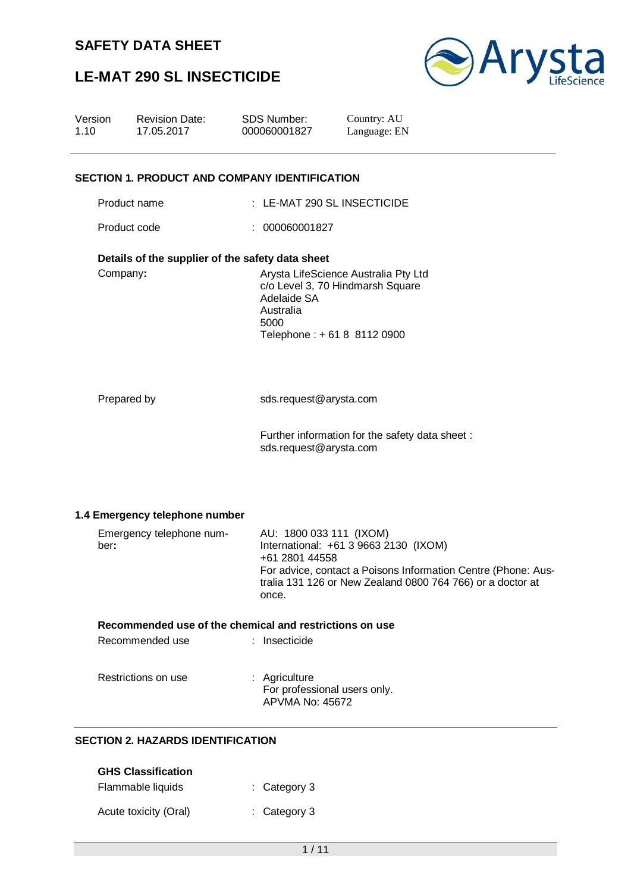# **LE-MAT 290 SL INSECTICIDE**



| Version<br>1.10 |              | <b>Revision Date:</b><br>17.05.2017                                        | SDS Number:<br>000060001827                        | Country: AU<br>Language: EN                                                                                                                                          |
|-----------------|--------------|----------------------------------------------------------------------------|----------------------------------------------------|----------------------------------------------------------------------------------------------------------------------------------------------------------------------|
|                 |              | <b>SECTION 1. PRODUCT AND COMPANY IDENTIFICATION</b>                       |                                                    |                                                                                                                                                                      |
|                 | Product name |                                                                            |                                                    | : LE-MAT 290 SL INSECTICIDE                                                                                                                                          |
|                 | Product code |                                                                            | : 000060001827                                     |                                                                                                                                                                      |
|                 | Company:     | Details of the supplier of the safety data sheet                           | Adelaide SA<br>Australia<br>5000                   | Arysta LifeScience Australia Pty Ltd<br>c/o Level 3, 70 Hindmarsh Square<br>Telephone: +618 8112 0900                                                                |
|                 | Prepared by  |                                                                            | sds.request@arysta.com<br>sds.request@arysta.com   | Further information for the safety data sheet:                                                                                                                       |
|                 | ber:         | 1.4 Emergency telephone number<br>Emergency telephone num-                 | AU: 1800 033 111 (IXOM)<br>+61 2801 44558<br>once. | International: +61 3 9663 2130 (IXOM)<br>For advice, contact a Poisons Information Centre (Phone: Aus-<br>tralia 131 126 or New Zealand 0800 764 766) or a doctor at |
|                 |              | Recommended use of the chemical and restrictions on use<br>Recommended use | : Insecticide                                      |                                                                                                                                                                      |
|                 |              | Restrictions on use                                                        | : Agriculture<br><b>APVMA No: 45672</b>            | For professional users only.                                                                                                                                         |
|                 |              | <b>SECTION 2. HAZARDS IDENTIFICATION</b>                                   |                                                    |                                                                                                                                                                      |
|                 |              | <b>GHS Classification</b><br>Flammable liquids                             | Category 3                                         |                                                                                                                                                                      |
|                 |              | Acute toxicity (Oral)                                                      | : Category 3                                       |                                                                                                                                                                      |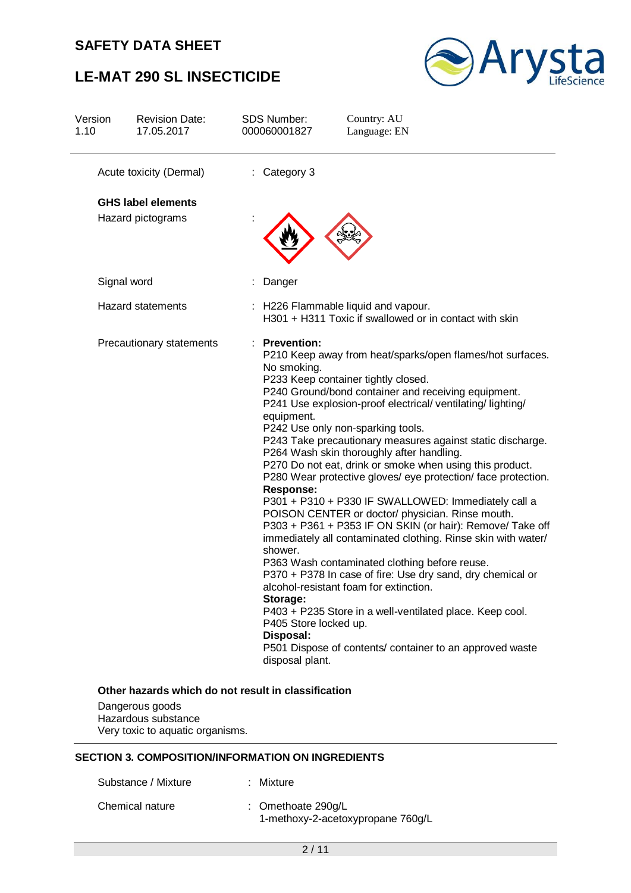# **LE-MAT 290 SL INSECTICIDE**



| Version<br>1.10 | <b>Revision Date:</b><br>17.05.2017 | <b>SDS Number:</b><br>000060001827                                                                                                             | Country: AU<br>Language: EN                                                                                                                                                                                                                                                                                                                                                                                                                                                                                                                                                                                                                                                                                                                                                                                                                                                                                                                                                                                                   |
|-----------------|-------------------------------------|------------------------------------------------------------------------------------------------------------------------------------------------|-------------------------------------------------------------------------------------------------------------------------------------------------------------------------------------------------------------------------------------------------------------------------------------------------------------------------------------------------------------------------------------------------------------------------------------------------------------------------------------------------------------------------------------------------------------------------------------------------------------------------------------------------------------------------------------------------------------------------------------------------------------------------------------------------------------------------------------------------------------------------------------------------------------------------------------------------------------------------------------------------------------------------------|
|                 | Acute toxicity (Dermal)             | : Category 3                                                                                                                                   |                                                                                                                                                                                                                                                                                                                                                                                                                                                                                                                                                                                                                                                                                                                                                                                                                                                                                                                                                                                                                               |
|                 | <b>GHS label elements</b>           |                                                                                                                                                |                                                                                                                                                                                                                                                                                                                                                                                                                                                                                                                                                                                                                                                                                                                                                                                                                                                                                                                                                                                                                               |
|                 | Hazard pictograms                   |                                                                                                                                                |                                                                                                                                                                                                                                                                                                                                                                                                                                                                                                                                                                                                                                                                                                                                                                                                                                                                                                                                                                                                                               |
|                 | Signal word                         | Danger                                                                                                                                         |                                                                                                                                                                                                                                                                                                                                                                                                                                                                                                                                                                                                                                                                                                                                                                                                                                                                                                                                                                                                                               |
|                 | <b>Hazard statements</b>            |                                                                                                                                                | : H226 Flammable liquid and vapour.<br>H301 + H311 Toxic if swallowed or in contact with skin                                                                                                                                                                                                                                                                                                                                                                                                                                                                                                                                                                                                                                                                                                                                                                                                                                                                                                                                 |
|                 | Precautionary statements            | : Prevention:<br>No smoking.<br>equipment.<br><b>Response:</b><br>shower.<br>Storage:<br>P405 Store locked up.<br>Disposal:<br>disposal plant. | P210 Keep away from heat/sparks/open flames/hot surfaces.<br>P233 Keep container tightly closed.<br>P240 Ground/bond container and receiving equipment.<br>P241 Use explosion-proof electrical/ ventilating/ lighting/<br>P242 Use only non-sparking tools.<br>P243 Take precautionary measures against static discharge.<br>P264 Wash skin thoroughly after handling.<br>P270 Do not eat, drink or smoke when using this product.<br>P280 Wear protective gloves/ eye protection/ face protection.<br>P301 + P310 + P330 IF SWALLOWED: Immediately call a<br>POISON CENTER or doctor/ physician. Rinse mouth.<br>P303 + P361 + P353 IF ON SKIN (or hair): Remove/ Take off<br>immediately all contaminated clothing. Rinse skin with water/<br>P363 Wash contaminated clothing before reuse.<br>P370 + P378 In case of fire: Use dry sand, dry chemical or<br>alcohol-resistant foam for extinction.<br>P403 + P235 Store in a well-ventilated place. Keep cool.<br>P501 Dispose of contents/ container to an approved waste |

Dangerous goods Hazardous substance Very toxic to aquatic organisms.

#### **SECTION 3. COMPOSITION/INFORMATION ON INGREDIENTS**

| Substance / Mixture | : Mixture                                                 |
|---------------------|-----------------------------------------------------------|
| Chemical nature     | : Omethoate $290q/L$<br>1-methoxy-2-acetoxypropane 760g/L |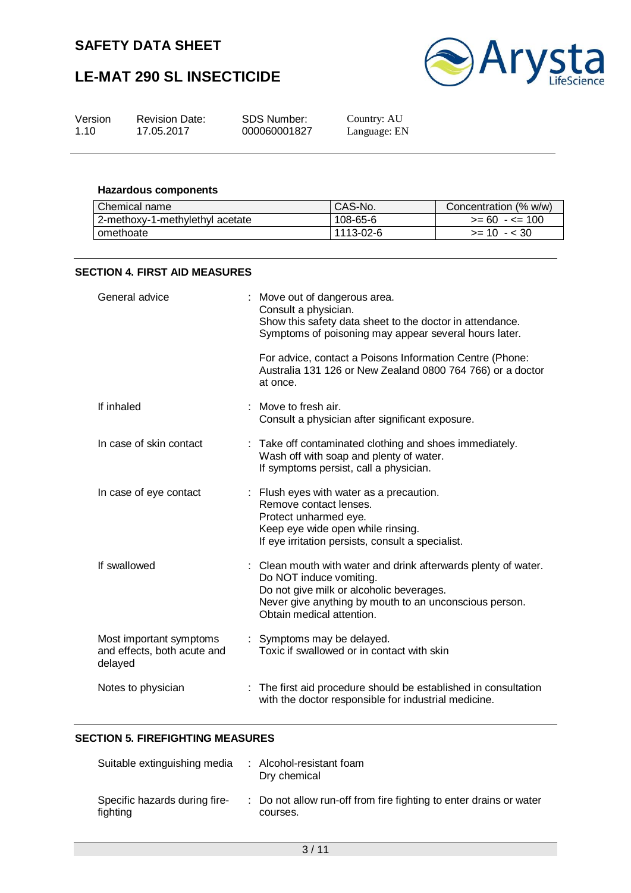# **LE-MAT 290 SL INSECTICIDE**



| Version | <b>Revision Date:</b> | SDS Number:  | Country: AU  |
|---------|-----------------------|--------------|--------------|
| 1.10    | 17.05.2017            | 000060001827 | Language: EN |

#### **Hazardous components**

| Chemical name                   | CAS-No.   | Concentration (% w/w) |
|---------------------------------|-----------|-----------------------|
| 2-methoxy-1-methylethyl acetate | 108-65-6  | $>= 60 - 5 = 100$     |
| omethoate                       | 1113-02-6 | $>= 10 - 30$          |

#### **SECTION 4. FIRST AID MEASURES**

| General advice                                                    | : Move out of dangerous area.<br>Consult a physician.<br>Show this safety data sheet to the doctor in attendance.<br>Symptoms of poisoning may appear several hours later.                                                   |
|-------------------------------------------------------------------|------------------------------------------------------------------------------------------------------------------------------------------------------------------------------------------------------------------------------|
|                                                                   | For advice, contact a Poisons Information Centre (Phone:<br>Australia 131 126 or New Zealand 0800 764 766) or a doctor<br>at once.                                                                                           |
| If inhaled                                                        | : Move to fresh air.<br>Consult a physician after significant exposure.                                                                                                                                                      |
| In case of skin contact                                           | : Take off contaminated clothing and shoes immediately.<br>Wash off with soap and plenty of water.<br>If symptoms persist, call a physician.                                                                                 |
| In case of eye contact                                            | : Flush eyes with water as a precaution.<br>Remove contact lenses.<br>Protect unharmed eye.<br>Keep eye wide open while rinsing.<br>If eye irritation persists, consult a specialist.                                        |
| If swallowed                                                      | : Clean mouth with water and drink afterwards plenty of water.<br>Do NOT induce vomiting.<br>Do not give milk or alcoholic beverages.<br>Never give anything by mouth to an unconscious person.<br>Obtain medical attention. |
| Most important symptoms<br>and effects, both acute and<br>delayed | : Symptoms may be delayed.<br>Toxic if swallowed or in contact with skin                                                                                                                                                     |
| Notes to physician                                                | The first aid procedure should be established in consultation<br>with the doctor responsible for industrial medicine.                                                                                                        |

## **SECTION 5. FIREFIGHTING MEASURES**

| Suitable extinguishing media              | : Alcohol-resistant foam<br>Dry chemical                                       |
|-------------------------------------------|--------------------------------------------------------------------------------|
| Specific hazards during fire-<br>fighting | : Do not allow run-off from fire fighting to enter drains or water<br>courses. |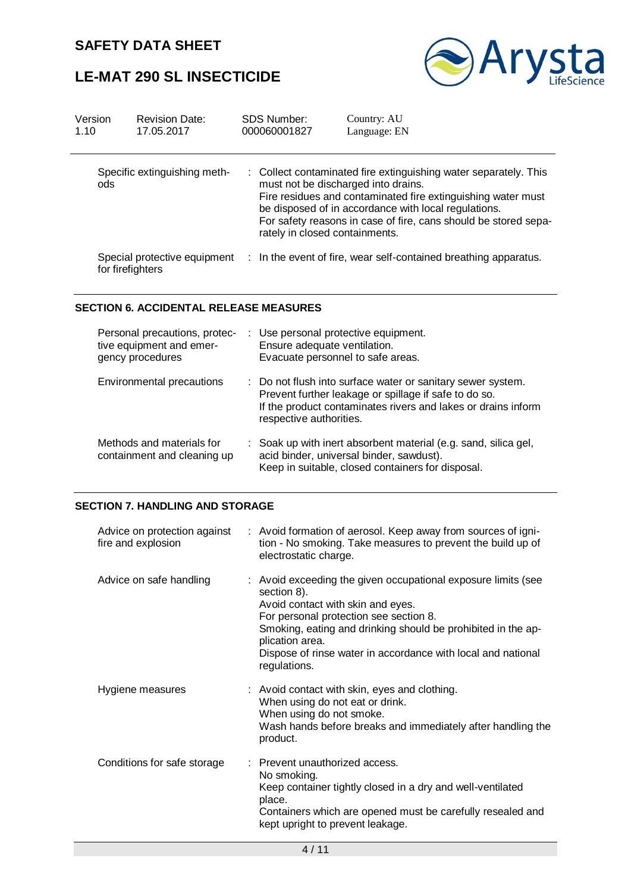# **LE-MAT 290 SL INSECTICIDE**



| Version<br>1.10 | <b>Revision Date:</b><br>17.05.2017              | <b>SDS Number:</b><br>000060001827 | Country: AU<br>Language: EN                                                                                                                                                                                                                                                                                                          |
|-----------------|--------------------------------------------------|------------------------------------|--------------------------------------------------------------------------------------------------------------------------------------------------------------------------------------------------------------------------------------------------------------------------------------------------------------------------------------|
| ods             | Specific extinguishing meth-                     |                                    | : Collect contaminated fire extinguishing water separately. This<br>must not be discharged into drains.<br>Fire residues and contaminated fire extinguishing water must<br>be disposed of in accordance with local regulations.<br>For safety reasons in case of fire, cans should be stored sepa-<br>rately in closed containments. |
|                 | Special protective equipment<br>for firefighters |                                    | : In the event of fire, wear self-contained breathing apparatus.                                                                                                                                                                                                                                                                     |

#### **SECTION 6. ACCIDENTAL RELEASE MEASURES**

| Personal precautions, protec-<br>tive equipment and emer-<br>gency procedures | : Use personal protective equipment.<br>Ensure adequate ventilation.<br>Evacuate personnel to safe areas.                                                                                                        |
|-------------------------------------------------------------------------------|------------------------------------------------------------------------------------------------------------------------------------------------------------------------------------------------------------------|
| Environmental precautions                                                     | : Do not flush into surface water or sanitary sewer system.<br>Prevent further leakage or spillage if safe to do so.<br>If the product contaminates rivers and lakes or drains inform<br>respective authorities. |
| Methods and materials for<br>containment and cleaning up                      | : Soak up with inert absorbent material (e.g. sand, silica gel,<br>acid binder, universal binder, sawdust).<br>Keep in suitable, closed containers for disposal.                                                 |

## **SECTION 7. HANDLING AND STORAGE**

| Advice on protection against<br>fire and explosion | : Avoid formation of aerosol. Keep away from sources of igni-<br>tion - No smoking. Take measures to prevent the build up of<br>electrostatic charge.                                                                                                                                                                          |
|----------------------------------------------------|--------------------------------------------------------------------------------------------------------------------------------------------------------------------------------------------------------------------------------------------------------------------------------------------------------------------------------|
| Advice on safe handling                            | : Avoid exceeding the given occupational exposure limits (see<br>section 8).<br>Avoid contact with skin and eyes.<br>For personal protection see section 8.<br>Smoking, eating and drinking should be prohibited in the ap-<br>plication area.<br>Dispose of rinse water in accordance with local and national<br>regulations. |
| Hygiene measures                                   | : Avoid contact with skin, eyes and clothing.<br>When using do not eat or drink.<br>When using do not smoke.<br>Wash hands before breaks and immediately after handling the<br>product.                                                                                                                                        |
| Conditions for safe storage                        | : Prevent unauthorized access.<br>No smoking.<br>Keep container tightly closed in a dry and well-ventilated<br>place.<br>Containers which are opened must be carefully resealed and<br>kept upright to prevent leakage.                                                                                                        |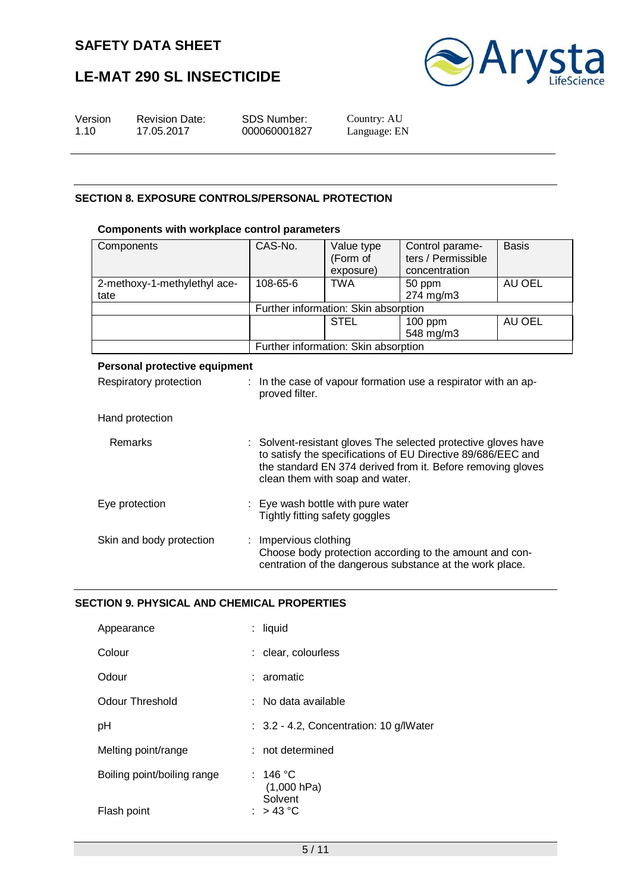# **LE-MAT 290 SL INSECTICIDE**



| Version | <b>Revision Date:</b> | SDS Number:  | Country: AU  |
|---------|-----------------------|--------------|--------------|
| 1.10    | 17.05.2017            | 000060001827 | Language: EN |
|         |                       |              |              |

#### **SECTION 8. EXPOSURE CONTROLS/PERSONAL PROTECTION**

#### **Components with workplace control parameters**

| Components                           | CAS-No.                              | Value type<br>(Form of<br>exposure) | Control parame-<br>ters / Permissible<br>concentration | <b>Basis</b> |  |
|--------------------------------------|--------------------------------------|-------------------------------------|--------------------------------------------------------|--------------|--|
| 2-methoxy-1-methylethyl ace-<br>tate | 108-65-6                             | <b>TWA</b>                          | 50 ppm<br>274 mg/m3                                    | AU OEL       |  |
|                                      | Further information: Skin absorption |                                     |                                                        |              |  |
|                                      |                                      | <b>STEL</b>                         | $100$ ppm<br>548 mg/m3                                 | AU OEL       |  |
|                                      | Further information: Skin absorption |                                     |                                                        |              |  |
|                                      |                                      |                                     |                                                        |              |  |

## **Personal protective equipment** Respiratory protection : In the case of vapour formation use a respirator with an approved filter. Hand protection Remarks : Solvent-resistant gloves The selected protective gloves have to satisfy the specifications of EU Directive 89/686/EEC and the standard EN 374 derived from it. Before removing gloves clean them with soap and water. Eye protection : Eye wash bottle with pure water Tightly fitting safety goggles Skin and body protection : Impervious clothing Choose body protection according to the amount and concentration of the dangerous substance at the work place.

#### **SECTION 9. PHYSICAL AND CHEMICAL PROPERTIES**

| Appearance                  | : liquid                                |
|-----------------------------|-----------------------------------------|
| Colour                      | : clear, colourless                     |
| Odour                       | : aromatic                              |
| Odour Threshold             | : No data available                     |
| pH                          | : 3.2 - 4.2, Concentration: 10 g/lWater |
| Melting point/range         | : not determined                        |
| Boiling point/boiling range | : 146 °C<br>$(1,000$ hPa)<br>Solvent    |
| Flash point                 | : $> 43^{\circ}$ C                      |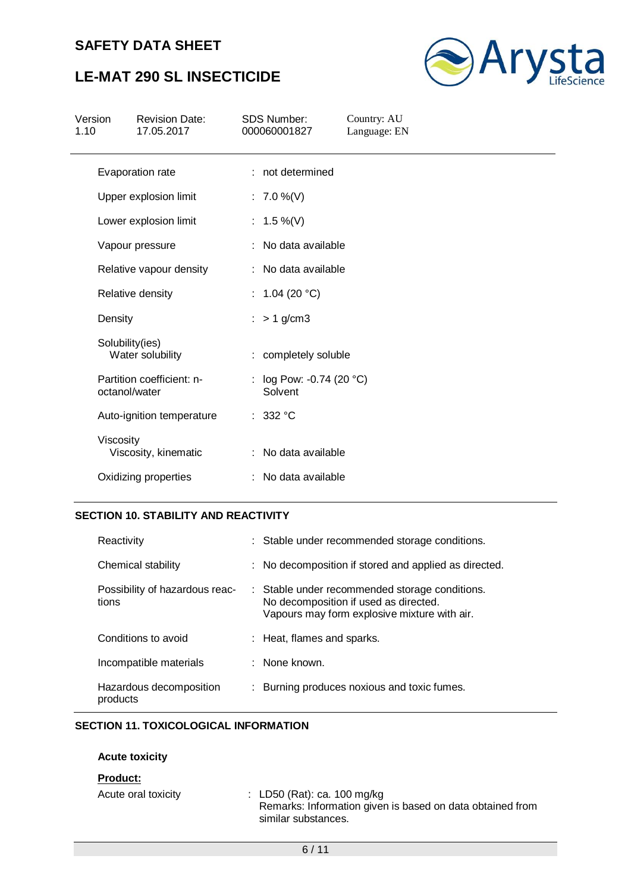# **LE-MAT 290 SL INSECTICIDE**



| 17.05.2017<br>1.10                         | 000060001827                          | Language: EN |  |
|--------------------------------------------|---------------------------------------|--------------|--|
| Evaporation rate                           | : not determined                      |              |  |
| Upper explosion limit                      | : $7.0\%$ (V)                         |              |  |
| Lower explosion limit                      | : $1.5\%$ (V)                         |              |  |
| Vapour pressure                            | No data available                     |              |  |
| Relative vapour density                    | : No data available                   |              |  |
| Relative density                           | : $1.04(20 °C)$                       |              |  |
| Density                                    | $> 1$ g/cm3                           |              |  |
| Solubility(ies)<br>Water solubility        | : completely soluble                  |              |  |
| Partition coefficient: n-<br>octanol/water | : $log Pow: -0.74 (20 °C)$<br>Solvent |              |  |
| Auto-ignition temperature                  | : 332 °C                              |              |  |
| Viscosity<br>Viscosity, kinematic          | : No data available                   |              |  |
| Oxidizing properties                       | : No data available                   |              |  |

#### **SECTION 10. STABILITY AND REACTIVITY**

| Reactivity                              | : Stable under recommended storage conditions.                                                                                          |
|-----------------------------------------|-----------------------------------------------------------------------------------------------------------------------------------------|
| Chemical stability                      | : No decomposition if stored and applied as directed.                                                                                   |
| Possibility of hazardous reac-<br>tions | : Stable under recommended storage conditions.<br>No decomposition if used as directed.<br>Vapours may form explosive mixture with air. |
| Conditions to avoid                     | : Heat, flames and sparks.                                                                                                              |
| Incompatible materials                  | : None known.                                                                                                                           |
| Hazardous decomposition<br>products     | : Burning produces noxious and toxic fumes.                                                                                             |

### **SECTION 11. TOXICOLOGICAL INFORMATION**

#### **Acute toxicity**

#### **Product:**

| Acute oral toxicity | : LD50 (Rat): ca. 100 mg/kg                               |
|---------------------|-----------------------------------------------------------|
|                     | Remarks: Information given is based on data obtained from |
|                     | similar substances.                                       |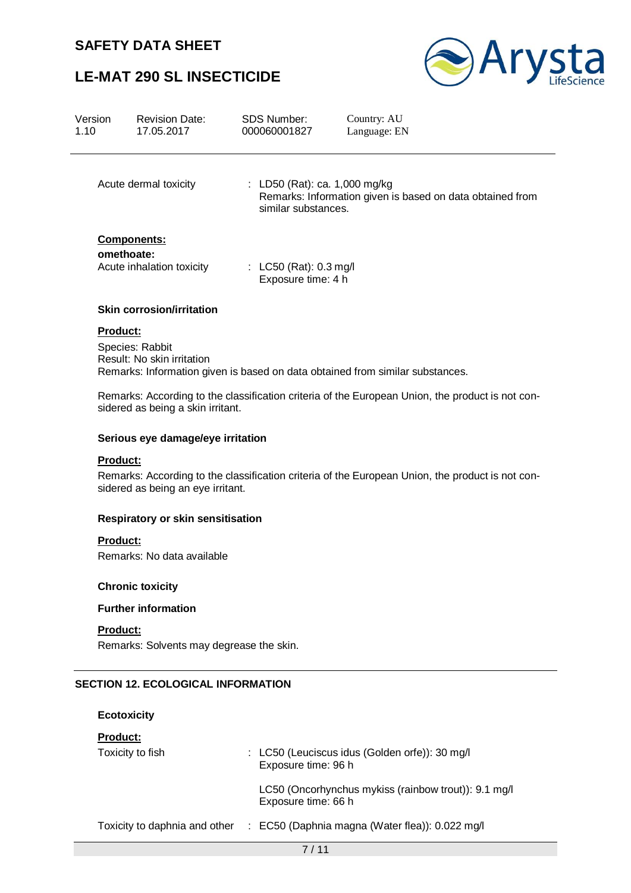# **LE-MAT 290 SL INSECTICIDE**



| Version<br>1.10 | <b>Revision Date:</b><br>17.05.2017                                                                                                   | <b>SDS Number:</b><br>000060001827                     | Country: AU<br>Language: EN                                                                                                                                                       |  |  |
|-----------------|---------------------------------------------------------------------------------------------------------------------------------------|--------------------------------------------------------|-----------------------------------------------------------------------------------------------------------------------------------------------------------------------------------|--|--|
|                 | Acute dermal toxicity                                                                                                                 | : LD50 (Rat): ca. 1,000 mg/kg<br>similar substances.   | Remarks: Information given is based on data obtained from                                                                                                                         |  |  |
|                 | <b>Components:</b><br>omethoate:<br>Acute inhalation toxicity                                                                         | : LC50 (Rat): $0.3 \text{ mg/l}$<br>Exposure time: 4 h |                                                                                                                                                                                   |  |  |
|                 | <b>Skin corrosion/irritation</b>                                                                                                      |                                                        |                                                                                                                                                                                   |  |  |
| <b>Product:</b> | Species: Rabbit<br>Result: No skin irritation<br>sidered as being a skin irritant.                                                    |                                                        | Remarks: Information given is based on data obtained from similar substances.<br>Remarks: According to the classification criteria of the European Union, the product is not con- |  |  |
|                 | Serious eye damage/eye irritation                                                                                                     |                                                        |                                                                                                                                                                                   |  |  |
| <b>Product:</b> |                                                                                                                                       |                                                        |                                                                                                                                                                                   |  |  |
|                 | Remarks: According to the classification criteria of the European Union, the product is not con-<br>sidered as being an eye irritant. |                                                        |                                                                                                                                                                                   |  |  |
|                 | <b>Respiratory or skin sensitisation</b>                                                                                              |                                                        |                                                                                                                                                                                   |  |  |
| <b>Product:</b> |                                                                                                                                       |                                                        |                                                                                                                                                                                   |  |  |

Remarks: No data available

## **Chronic toxicity**

### **Further information**

#### **Product:**

Remarks: Solvents may degrease the skin.

## **SECTION 12. ECOLOGICAL INFORMATION**

# **Ecotoxicity Product:** Toxicity to fish : LC50 (Leuciscus idus (Golden orfe)): 30 mg/l Exposure time: 96 h LC50 (Oncorhynchus mykiss (rainbow trout)): 9.1 mg/l Exposure time: 66 h Toxicity to daphnia and other : EC50 (Daphnia magna (Water flea)): 0.022 mg/l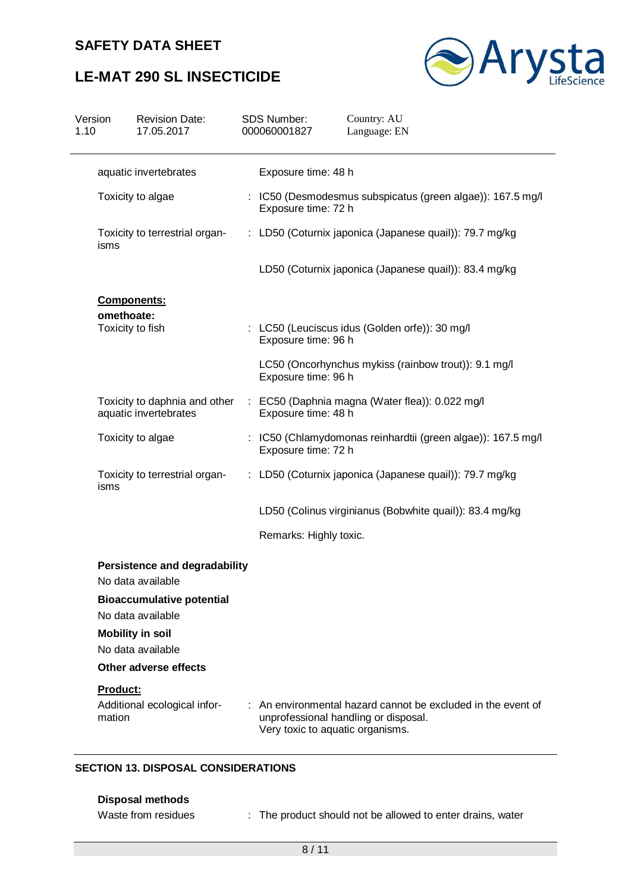# **LE-MAT 290 SL INSECTICIDE**



| Version<br>1.10 | <b>Revision Date:</b><br>17.05.2017                       | <b>SDS Number:</b><br>000060001827 | Country: AU<br>Language: EN                                                                        |
|-----------------|-----------------------------------------------------------|------------------------------------|----------------------------------------------------------------------------------------------------|
|                 | aquatic invertebrates                                     | Exposure time: 48 h                |                                                                                                    |
|                 | Toxicity to algae                                         | Exposure time: 72 h                | : IC50 (Desmodesmus subspicatus (green algae)): 167.5 mg/l                                         |
| isms            | Toxicity to terrestrial organ-                            |                                    | : LD50 (Coturnix japonica (Japanese quail)): 79.7 mg/kg                                            |
|                 |                                                           |                                    | LD50 (Coturnix japonica (Japanese quail)): 83.4 mg/kg                                              |
|                 | <b>Components:</b>                                        |                                    |                                                                                                    |
|                 | omethoate:<br>Toxicity to fish                            | Exposure time: 96 h                | : LC50 (Leuciscus idus (Golden orfe)): 30 mg/l                                                     |
|                 |                                                           | Exposure time: 96 h                | LC50 (Oncorhynchus mykiss (rainbow trout)): 9.1 mg/l                                               |
|                 | Toxicity to daphnia and other<br>aquatic invertebrates    | Exposure time: 48 h                | : EC50 (Daphnia magna (Water flea)): 0.022 mg/l                                                    |
|                 | Toxicity to algae                                         | Exposure time: 72 h                | : IC50 (Chlamydomonas reinhardtii (green algae)): 167.5 mg/l                                       |
| isms            | Toxicity to terrestrial organ-                            |                                    | : LD50 (Coturnix japonica (Japanese quail)): 79.7 mg/kg                                            |
|                 |                                                           |                                    | LD50 (Colinus virginianus (Bobwhite quail)): 83.4 mg/kg                                            |
|                 |                                                           | Remarks: Highly toxic.             |                                                                                                    |
|                 | <b>Persistence and degradability</b><br>No data available |                                    |                                                                                                    |
|                 | <b>Bioaccumulative potential</b>                          |                                    |                                                                                                    |
|                 | No data available                                         |                                    |                                                                                                    |
|                 | <b>Mobility in soil</b><br>No data available              |                                    |                                                                                                    |
|                 | Other adverse effects                                     |                                    |                                                                                                    |
| Product:        |                                                           |                                    |                                                                                                    |
| mation          | Additional ecological infor-                              | Very toxic to aquatic organisms.   | An environmental hazard cannot be excluded in the event of<br>unprofessional handling or disposal. |
|                 | <b>CECTION 12 DICBOCAL CONCIDED ATIONS</b>                |                                    |                                                                                                    |

#### **SECTION 13. DISPOSAL CONSIDERATIONS**

- **Disposal methods**
- 
- Waste from residues : The product should not be allowed to enter drains, water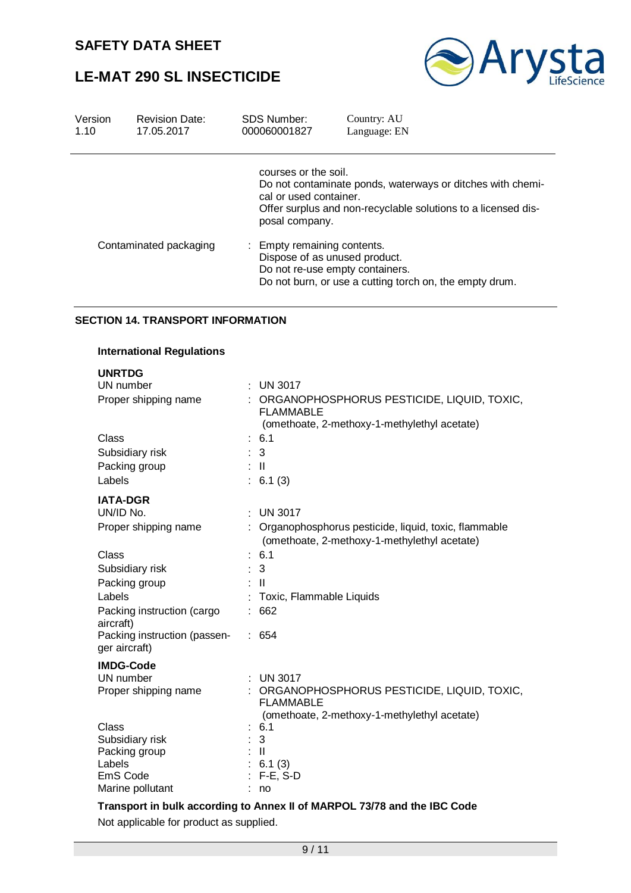# **LE-MAT 290 SL INSECTICIDE**



| Version<br>1.10 | <b>Revision Date:</b><br>17.05.2017 | <b>SDS Number:</b><br>000060001827                               | Country: AU<br>Language: EN                                                                                                 |
|-----------------|-------------------------------------|------------------------------------------------------------------|-----------------------------------------------------------------------------------------------------------------------------|
|                 |                                     | courses or the soil.<br>cal or used container.<br>posal company. | Do not contaminate ponds, waterways or ditches with chemi-<br>Offer surplus and non-recyclable solutions to a licensed dis- |
|                 | Contaminated packaging              | : Empty remaining contents.                                      | Dispose of as unused product.<br>Do not re-use empty containers.<br>Do not burn, or use a cutting torch on, the empty drum. |

#### **SECTION 14. TRANSPORT INFORMATION**

| <b>International Regulations</b>                   |                                                                                                                                    |
|----------------------------------------------------|------------------------------------------------------------------------------------------------------------------------------------|
| <b>UNRTDG</b><br>UN number<br>Proper shipping name | <b>UN 3017</b><br>: ORGANOPHOSPHORUS PESTICIDE, LIQUID, TOXIC,<br><b>FLAMMABLE</b><br>(omethoate, 2-methoxy-1-methylethyl acetate) |
| Class                                              | : 6.1                                                                                                                              |
| Subsidiary risk                                    | 3                                                                                                                                  |
| Packing group                                      | : II                                                                                                                               |
| Labels                                             | : 6.1(3)                                                                                                                           |
| <b>IATA-DGR</b>                                    |                                                                                                                                    |
| UN/ID No.                                          | <b>UN 3017</b><br>÷                                                                                                                |
| Proper shipping name                               | : Organophosphorus pesticide, liquid, toxic, flammable<br>(omethoate, 2-methoxy-1-methylethyl acetate)                             |
| Class                                              | 6.1                                                                                                                                |
| Subsidiary risk                                    | 3                                                                                                                                  |
| Packing group                                      | ÷<br>$\mathbf{H}$                                                                                                                  |
| Labels                                             | Toxic, Flammable Liquids                                                                                                           |
| Packing instruction (cargo<br>aircraft)            | 662                                                                                                                                |
| Packing instruction (passen-<br>ger aircraft)      | : 654                                                                                                                              |
| <b>IMDG-Code</b>                                   |                                                                                                                                    |
| UN number                                          | <b>UN 3017</b>                                                                                                                     |
| Proper shipping name                               | : ORGANOPHOSPHORUS PESTICIDE, LIQUID, TOXIC,<br><b>FLAMMABLE</b>                                                                   |
| Class                                              | (omethoate, 2-methoxy-1-methylethyl acetate)<br>: 6.1                                                                              |
| Subsidiary risk                                    | 3                                                                                                                                  |
| Packing group                                      | $\mathbf{H}$                                                                                                                       |
| Labels                                             | 6.1(3)                                                                                                                             |
| EmS Code                                           | $F-E$ , S-D                                                                                                                        |
| Marine pollutant                                   | no                                                                                                                                 |

**Transport in bulk according to Annex II of MARPOL 73/78 and the IBC Code** Not applicable for product as supplied.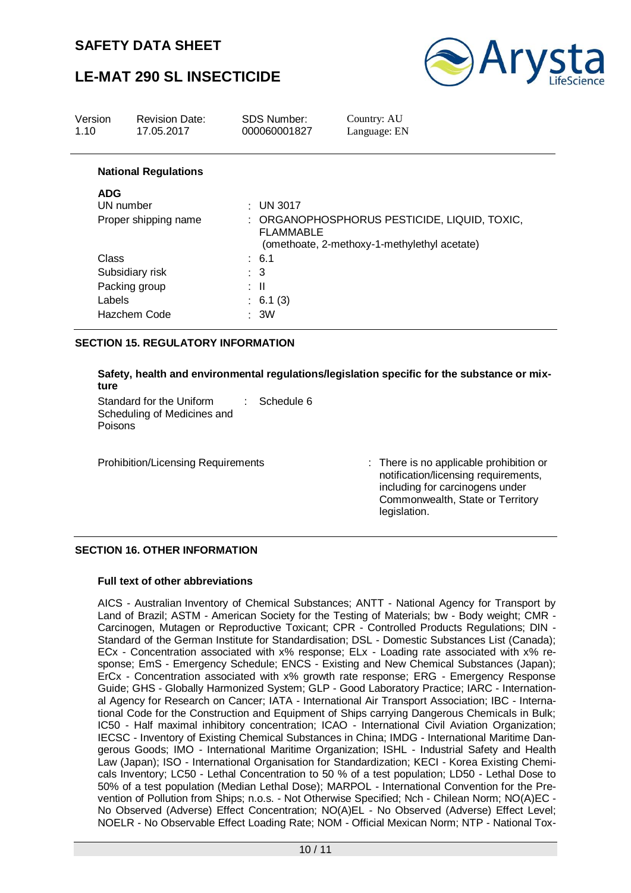# **LE-MAT 290 SL INSECTICIDE**



| Version<br>1.10 | <b>Revision Date:</b><br>17.05.2017 | <b>SDS Number:</b><br>000060001827 | Country: AU<br>Language: EN                                                                  |
|-----------------|-------------------------------------|------------------------------------|----------------------------------------------------------------------------------------------|
|                 | <b>National Regulations</b>         |                                    |                                                                                              |
| <b>ADG</b>      |                                     |                                    |                                                                                              |
|                 | UN number                           | $:$ UN 3017                        |                                                                                              |
|                 | Proper shipping name                | <b>FLAMMABLE</b>                   | : ORGANOPHOSPHORUS PESTICIDE, LIQUID, TOXIC,<br>(omethoate, 2-methoxy-1-methylethyl acetate) |
| Class           |                                     | $\therefore$ 6.1                   |                                                                                              |
|                 | Subsidiary risk                     | $\therefore$ 3                     |                                                                                              |
|                 | Packing group                       | ÷Ш                                 |                                                                                              |
| Labels          |                                     | : 6.1(3)                           |                                                                                              |
|                 | Hazchem Code                        | $\therefore$ 3W                    |                                                                                              |

#### **SECTION 15. REGULATORY INFORMATION**

#### **Safety, health and environmental regulations/legislation specific for the substance or mixture**

Standard for the Uniform Scheduling of Medicines and Poisons : Schedule 6

Prohibition/Licensing Requirements : There is no applicable prohibition or notification/licensing requirements, including for carcinogens under Commonwealth, State or Territory legislation.

#### **SECTION 16. OTHER INFORMATION**

#### **Full text of other abbreviations**

AICS - Australian Inventory of Chemical Substances; ANTT - National Agency for Transport by Land of Brazil; ASTM - American Society for the Testing of Materials; bw - Body weight; CMR - Carcinogen, Mutagen or Reproductive Toxicant; CPR - Controlled Products Regulations; DIN - Standard of the German Institute for Standardisation; DSL - Domestic Substances List (Canada); ECx - Concentration associated with x% response; ELx - Loading rate associated with x% response; EmS - Emergency Schedule; ENCS - Existing and New Chemical Substances (Japan); ErCx - Concentration associated with x% growth rate response; ERG - Emergency Response Guide; GHS - Globally Harmonized System; GLP - Good Laboratory Practice; IARC - International Agency for Research on Cancer; IATA - International Air Transport Association; IBC - International Code for the Construction and Equipment of Ships carrying Dangerous Chemicals in Bulk; IC50 - Half maximal inhibitory concentration; ICAO - International Civil Aviation Organization; IECSC - Inventory of Existing Chemical Substances in China; IMDG - International Maritime Dangerous Goods; IMO - International Maritime Organization; ISHL - Industrial Safety and Health Law (Japan); ISO - International Organisation for Standardization; KECI - Korea Existing Chemicals Inventory; LC50 - Lethal Concentration to 50 % of a test population; LD50 - Lethal Dose to 50% of a test population (Median Lethal Dose); MARPOL - International Convention for the Prevention of Pollution from Ships; n.o.s. - Not Otherwise Specified; Nch - Chilean Norm; NO(A)EC - No Observed (Adverse) Effect Concentration; NO(A)EL - No Observed (Adverse) Effect Level; NOELR - No Observable Effect Loading Rate; NOM - Official Mexican Norm; NTP - National Tox-